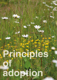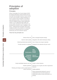## **Principles of adoption**

## **Principles**

Where Cambridge City Council adopts SUDS, the design philosophy should embody the four key high level principles that the Council wishes to see as set out below. Specific quidance on how to achieve these principles is provided in each individual section. This is to ensure that SUDS for adoption provide a robust engineering solution, are of sufficiently high quality and can be easily maintained so the Council is not burdened by excessive costs or liabilities in the future. Following these principles will provide multiple benefits to the residents of Cambridge in the form of reduced flood risk, increased biodiversity and more attractive spaces.

## **These four key principles are:**

| Reduce flood risk                |
|----------------------------------|
| Improve water quality            |
| Delivering biodiversity benefits |
| Provide amenity for residents    |

Micro managed bespoke design Integration with wider landscape setting Use of robust, low impact materials Designed to be attractive all year round